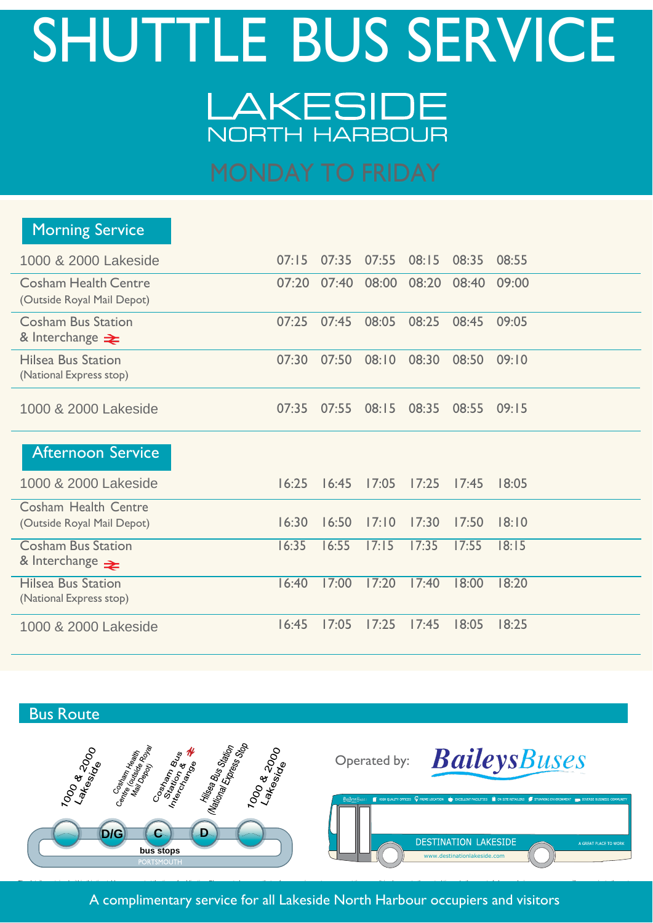# SHUTTLE BUS SERVICE LAKESIDE NORTH HARBOUR

| <b>Morning Service</b>                                    |       |       |       |                 |       |       |
|-----------------------------------------------------------|-------|-------|-------|-----------------|-------|-------|
| 1000 & 2000 Lakeside                                      | 07:15 | 07:35 | 07:55 | 08:15           | 08:35 | 08:55 |
| <b>Cosham Health Centre</b><br>(Outside Royal Mail Depot) | 07:20 | 07:40 | 08:00 | 08:20           | 08:40 | 09:00 |
| <b>Cosham Bus Station</b><br>& Interchange $\geq$         | 07:25 | 07:45 | 08:05 | 08:25           | 08:45 | 09:05 |
| <b>Hilsea Bus Station</b><br>(National Express stop)      | 07:30 | 07:50 | 08:10 | 08:30           | 08:50 | 09:10 |
| 1000 & 2000 Lakeside                                      | 07:35 | 07:55 | 08:15 | 08:35           | 08:55 | 09:15 |
| Afternoon Service                                         |       |       |       |                 |       |       |
| 1000 & 2000 Lakeside                                      | 16:25 | 16:45 | 17:05 | 17:25           | 17:45 | 18:05 |
| <b>Cosham Health Centre</b><br>(Outside Royal Mail Depot) | 16:30 | 16:50 | 17:10 | 17:30           | 17:50 | 18:10 |
| <b>Cosham Bus Station</b><br>& Interchange $\geq$         | 16:35 | 16:55 | 17:15 | 17:35           | 17:55 | 18:15 |
| <b>Hilsea Bus Station</b><br>(National Express stop)      | 16:40 | 17:00 | 17:20 | 17:40           | 18:00 | 18:20 |
| 1000 & 2000 Lakeside                                      | 16:45 | 17:05 |       | $17:25$ $17:45$ | 18:05 | 18:25 |

## Bus Route



### A complimentary service for all Lakeside North Harbour occupiers and visitors

i di sebagai kecamatan di sebagai kecamatan dan berasa dalam kecamatan dan berasal dan berasa dalam kecamatan